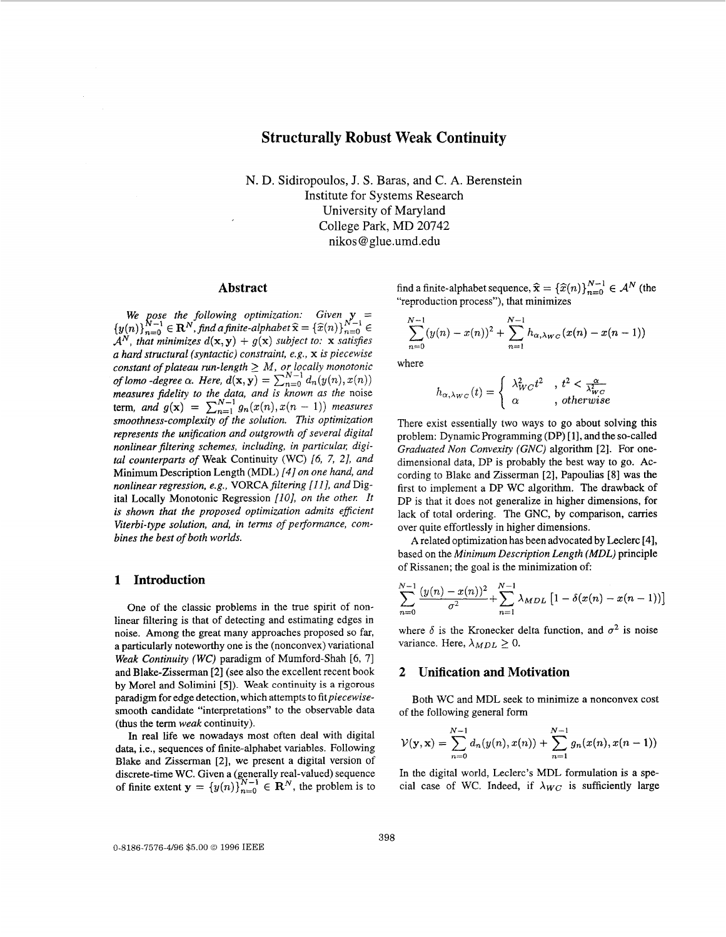# **Structurally Robust Weak Continuity**

N. D. Sidiropoulos, J. S. Baras, and C. **A.** Berenstein Institute for Systems Research University of Maryland College Park, MD **20742**  nikos [@glue.umd.edu](mailto:glue.umd.edu)

### **Abstract**

We pose the following optimization: Given **y**<br> $(x_0)N^{-1} \subset \mathbb{R}^N$  fud a finite alphabet  $\widehat{x} = \left(\widehat{x}(n)\right)^{N-1}$  $\{y(n)\}_{n=0}^{N-1} \in \mathbf{R}^{N}$ , find a finite-alphabet  $\widehat{\mathbf{x}} = \{\widehat{x}(n)\}_{n=0}^{N-1}$  $\mathcal{A}^N$ , that minimizes  $d(\mathbf{x}, \mathbf{y}) + g(\mathbf{x})$  subject to: **x** satisfies *a hard structural (syntactic) constraint, e.g.,* **x** *is piecewise constant of plateau run-length* \_> *M, or locally monotonic of lomo -degree*  $\alpha$ *. Here,*  $d(\mathbf{x}, \mathbf{y}) = \sum_{n=0}^{N-1} d_n(y(n), x(n))$ *measures fidelity to the data, and is known as the noise* term, *and*  $g(x) = \sum_{n=1}^{N-1} g_n(x(n), x(n-1))$  *measures smoothness-complexity of the solution. This optimization represents the unijication and outgrowth* of *several digital*  nonlinear filtering schemes, including, in particular, digi*tal counterparts of* Weak Continuity (WC) *[6,* 7, *21, and*  Minimum Description Length (MDL) *141 on one hand, and nonlinear regression, e.g., VORCAfiltering [l I], and* Digital Locally Monotonic Regression [10], on the other. It *is shown that the proposed optimization admits efficient Viterbi-type solution, and, in terms* of *performance, combines the best* of *both worlds.* 

#### **1 Introduction**

One of the classic problems in the true spirit of nonlinear filtering is that of detecting and estimating edges in noise. Among the great many approaches proposed so far, a particularly noteworthy one is the (nonconvex) variational *Weak Continuity (WC)* paradigm of Mumford-Shah *[6,* 71 and Blake-Zisserman **[2]** (see also the excellent recent book **by** Morel and Solimini **[5]).** *Weak* continuity **is a** rigorous paradigm for edge detection, which attempts to *fitpiecewise*smooth candidate "interpretations" to the observable data (thus the term *weak* continuity).

In real life we nowadays most often deal with digital data, i.e., sequences of finite-alphabet variables. Following Blake and Zisserman [2], we present a digital version of discrete-time WC. Given a (generally real-valued) sequence of finite extent  $\mathbf{y} = \{y(n)\}_{n=0}^{N-1} \in \mathbb{R}^N$ , the problem is to find a finite-alphabet sequence,  $\hat{\mathbf{x}} = {\hat{x}(n)}_{n=0}^{N-1} \in \mathcal{A}^N$  (the "reproduction process"), that minimizes

$$
\sum_{n=0}^{N-1} (y(n) - x(n))^2 + \sum_{n=1}^{N-1} h_{\alpha,\lambda_{WC}}(x(n) - x(n-1))
$$

where

$$
h_{\alpha,\lambda_{WC}}(t) = \begin{cases} \lambda_{WC}^2 t^2, & t^2 < \frac{\alpha}{\lambda_{WC}^2} \\ \alpha, & \text{, otherwise} \end{cases}
$$

There exist essentially two ways to go about solving this problem: Dynamic Programming (DP) [ **11,** and the so-called *Graduated Non Convexity (GNC)* algorithm **[2].** For onedimensional data, DP is probably the best way to go. ACcording to Blake and Zisserman **[2],** Papoulias **[8]** was the first to implement a DP WC algorithm. The drawback of DP is that it does not generalize in higher dimensions, for lack of total ordering. The GNC, by comparison, carries over quite effortlessly in higher dimensions.

**A** related optimization has been advocated by Leclerc **[4],**  based on the *Minimum Description Length (MDL)* principle of Rissanen; the goal is the minimization of

$$
\sum_{n=0}^{N-1} \frac{(y(n) - x(n))^2}{\sigma^2} + \sum_{n=1}^{N-1} \lambda_{MDL} [1 - \delta(x(n) - x(n-1))]
$$

where  $\delta$  is the Kronecker delta function, and  $\sigma^2$  is noise variance. Here,  $\lambda_{MDL} \geq 0$ .

### **2 Unification and Motivation**

Both WC and MDL seek to minimize a nonconvex cost of the following general form

$$
\mathcal{V}(\mathbf{y}, \mathbf{x}) = \sum_{n=0}^{N-1} d_n(y(n), x(n)) + \sum_{n=1}^{N-1} g_n(x(n), x(n-1))
$$

In the digital world, Leclerc's MDL formulation is a special case of WC. Indeed, if  $\lambda_{WC}$  is sufficiently large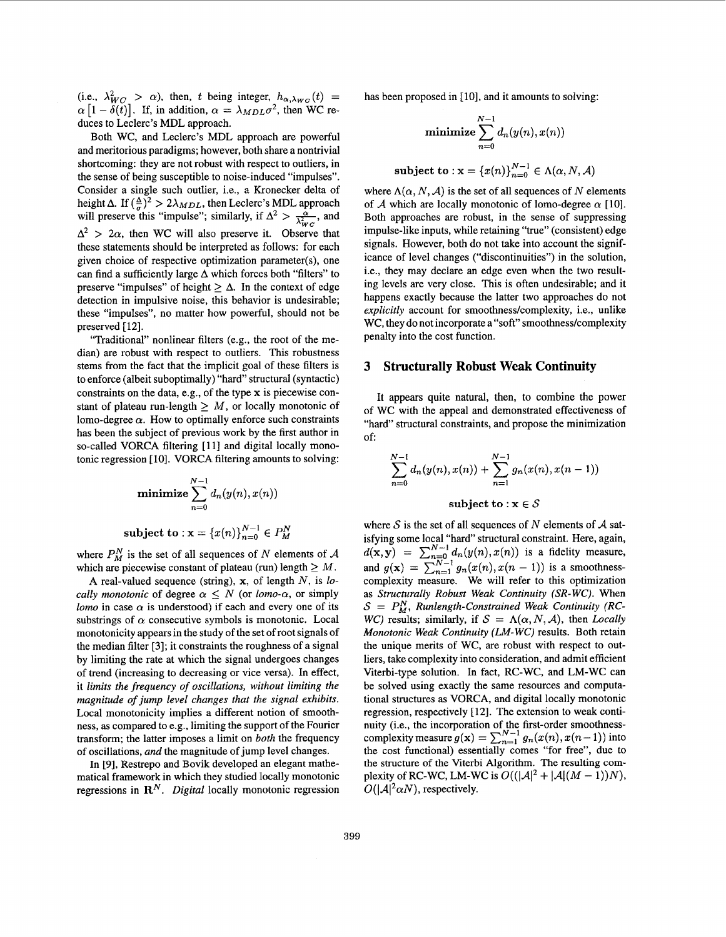(i.e.,  $\lambda_{WC}^2 > \alpha$ ), then, *t* being integer,  $h_{\alpha,\lambda_{WC}}(t) = \alpha \left[1 - \delta(t)\right]$ . If, in addition,  $\alpha = \lambda_{MDL}\sigma^2$ , then WC reduces to Leclerc's MDL approach.

Both WC, and Leclerc's MDL approach are powerful and meritorious paradigms; however, both share a nontrivial shortcoming: they are not robust with respect to outliers, in the sense of being susceptible to noise-induced "impulses". Consider a single such outlier, i.e., a Kronecker delta of height  $\Delta$ . If  $(\frac{\Delta}{\sigma})^2 > 2\lambda_{MDL}$ , then Leclerc's MDL approach will preserve this "impulse"; similarly, if  $\Delta^2 > \frac{\alpha}{\lambda_{WC}^2}$ , and  $\frac{\alpha}{\lambda_{WC}^2}$  $\Delta^2$  > 2 $\alpha$ , then WC will also preserve it. Observe that these statements should be interpreted as follows: for each given choice of respective optimization parameter(s), one can find a sufficiently large  $\Delta$  which forces both "filters" to preserve "impulses" of height  $\geq \Delta$ . In the context of edge detection in impulsive noise, this behavior is undesirable; these "impulses", no matter how powerful, should not be preserved [12].

"Traditional" nonlinear filters (e.g., the root of the median) are robust with respect to outliers. This robustness stems from the fact that the implicit goal of these filters is to enforce (albeit suboptimally) "hard" structural (syntactic) constraints on the data, e.g., of the type x is piecewise constant of plateau run-length  $> M$ , or locally monotonic of lomo-degree  $\alpha$ . How to optimally enforce such constraints has been the subject of previous work by the first author in so-called VORCA filtering [11] and digital locally monotonic regression [ IO]. VORCA filtering amounts to solving:

$$
\mathbf{minimize} \sum_{n=0}^{N-1} d_n(y(n), x(n))
$$

subject to : 
$$
\mathbf{x} = \{x(n)\}_{n=0}^{N-1} \in P_M^N
$$

where  $P_M^N$  is the set of all sequences of N elements of A which are piecewise constant of plateau (run) length  $\geq M$ .

A real-valued sequence (string), x, of length *N,* is *locally monotonic* of degree  $\alpha \leq N$  (or *lomo-* $\alpha$ *,* or simply *lomo* in case  $\alpha$  is understood) if each and every one of its substrings of  $\alpha$  consecutive symbols is monotonic. Local monotonicity appears in the study of the set of root signals of the median filter [3]; it constraints the roughness of a signal by limiting the rate at which the signal undergoes changes of trend (increasing to decreasing or vice versa). In effect, it *limits the frequency* of *oscillations, without limiting the magnitude* of *jump level changes that the signal exhibits.*  Local monotonicity implies a different notion of smoothness, as compared to e.g., limiting the support of the Fourier transform; the latter imposes a limit on *both* the frequency of oscillations, and the magnitude of jump level changes.

In **[9],** Restrepo and Bovik developed an elegant mathematical framework in which they studied locally monotonic regressions in *RN. Digital* locally monotonic regression

has been proposed in  $[10]$ , and it amounts to solving:

minimize 
$$
\sum_{n=0}^{N-1} d_n(y(n), x(n))
$$
  
subject to : 
$$
\mathbf{x} = \{x(n)\}_{n=0}^{N-1} \in \Lambda(\alpha, N, \mathcal{A})
$$

where  $\Lambda(\alpha, N, \mathcal{A})$  is the set of all sequences of N elements of *A* which are locally monotonic of lomo-degree  $\alpha$  [10]. Both approaches are robust, in the sense of suppressing impulse-like inputs, while retaining "true" (consistent) edge signals. However, both do not take into account the significance of level changes ("discontinuities") in the solution, i.e., they may declare an edge even when the two resulting levels are very close. This is often undesirable; and it happens exactly because the latter two approaches do not *explicitly* account for smoothness/complexity, i.e., unlike WC, they do not incorporate a "soft" smoothness/complexity penalty into the cost function.

#### **3 Structurally Robust Weak Continuity**

It appears quite natural, then, to combine the power of WC with the appeal and demonstrated effectiveness of "hard" structural constraints, and propose the minimization of:

$$
\sum_{n=0}^{N-1} d_n(y(n), x(n)) + \sum_{n=1}^{N-1} g_n(x(n), x(n-1))
$$
  
subject to:  $x \in S$ 

where  $S$  is the set of all sequences of  $N$  elements of  $A$  satisfying some local "hard" structural constraint. Here, again,  $d(\mathbf{x}, \mathbf{y}) = \sum_{n=0}^{N-1} d_n(y(n), x(n))$  is a fidelity measure, and  $g(\mathbf{x}) = \sum_{n=1}^{N-1} g_n(x(n), x(n-1))$  is a smoothnesscomplexity measure. We will refer to this optimization **as** *Structurally Robust Weak Continuity (SR- WC).* When  $S = P_M^N$ , Runlength-Constrained Weak Continuity (RC-*WC)* results; similarly, if  $S = \Lambda(\alpha, N, \mathcal{A})$ , then *Locally Monotonic Weak Continuity (LM- WC)* results. Both retain the unique merits of WC, are robust with respect to outliers, take complexity into consideration, and admit efficient Viterbi-type solution. In fact, RC-WC, and LM-WC can be solved using exactly the same resources and computational structures as VORCA, and digital locally monotonic regression, respectively [12]. The extension to weak continuity (i.e., the incorporation of the first-order smoothnesscomplexity measure  $g(x) = \sum_{n=1}^{N-1} g_n(x(n), x(n-1))$  into the cost functional) essentially comes "for free", due to **the** structure of the Viterbi Algorithm. The resulting complexity of RC-WC, LM-WC is  $O((|\mathcal{A}|^2 + |\mathcal{A}|(M - 1))N)$ ,  $O(|A|^2 \alpha N)$ , respectively.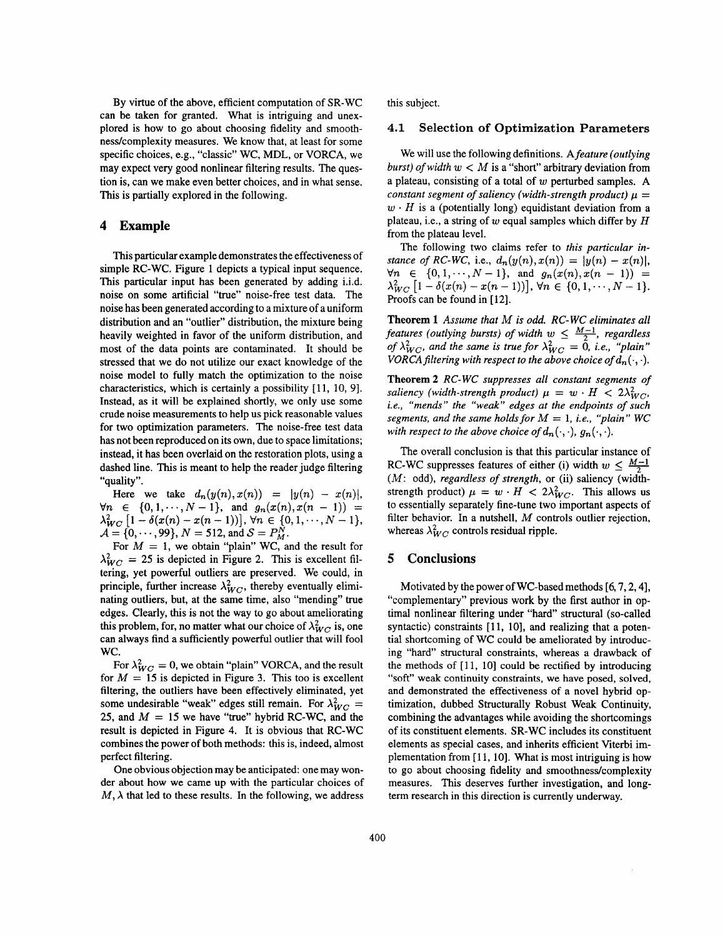By virtue of the above, efficient computation of SR-WC can be taken for granted. What is intriguing and unexplored is how to go about choosing fidelity and smoothness/complexity measures. We know that, at least for some specific choices, e.g., "classic" WC, MDL, or VORCA, we may expect very good nonlinear filtering results. The question is, can we make even better choices, and in what sense. This is partially explored in the following.

### **4 Example**

This particular example demonstrates the effectiveness of simple RC-WC. [Figure](#page-3-0) 1 depicts a typical input sequence. This particular input has been generated by adding i.i.d. noise on some artificial "true" noise-free test data. The noise has been generated according to a mixture of a uniform distribution and an "outlier" distribution, the mixture being heavily weighted in favor of the uniform distribution, and most of the data points are contaminated. It should be stressed that we do not utilize our exact knowledge of the noise model to fully match the optimization to the noise characteristics, which is certainly a possibility [ **11,** 10, **91.**  Instead, as it will be explained shortly, we only use some crude noise measurements to help us pick reasonable values for two optimization parameters. The noise-free test data has not been reproduced on its own, due to space limitations; instead, it has been overlaid on the restoration plots, using a dashed line. This is meant to help the reader judge filtering "quality".

Here we take  $d_n(y(n),x(n)) = |y(n) - x(n)|$ ,  $\forall n \in \{0, 1, \dots, N-1\}, \text{ and } g_n(x(n), x(n-1)) =$  $\lambda_{WC}^{2}$   $\left[1 - \delta(x(n) - x(n-1))\right]$ ,  $\forall n \in \{0, 1, \dots, N-1\},$  $\mathcal{A} = \{0, \dots, 99\}, N = 512, \text{ and } \mathcal{S} = P_M^N.$ 

For  $M = 1$ , we obtain "plain" WC, and the result for  $\lambda_{WC}^2 = 25$  is depicted in Figure 2. This is excellent filtering, yet powerful outliers are preserved. We could, in principle, further increase  $\lambda_{WC}^2$ , thereby eventually eliminating outliers, but, at the same time, also "mending" **true**  edges. Clearly, this is not the way to go about ameliorating this problem, for, no matter what our choice of  $\lambda_{WC}^2$  is, one can always find a sufficiently powerful outlier that will fool wc.

For  $\lambda_{WC}^2 = 0$ , we obtain "plain" VORCA, and the result for  $M = 15$  is depicted in Figure 3. This too is excellent filtering, the outliers have been effectively eliminated, yet some undesirable "weak" edges still remain. For  $\lambda_{WC}^2$  = 25, and  $M = 15$  we have "true" hybrid RC-WC, and the result is depicted in [Figure](#page-3-0) **4.** It is obvious that RC-WC combines the power of both methods: this is, indeed, almost perfect filtering.

One obvious objection may be anticipated: one may wonder about how we came up with the particular choices of  $M, \lambda$  that led to these results. In the following, we address

this subject.

#### **4.1 Selection of Optimization Parameters**

We will use the following definitions. A *feature (outlying burst) of width*  $w < M$  is a "short" arbitrary deviation from a plateau, consisting of a total of w perturbed samples. **A**  *constant segment of saliency (width-strength product)*  $\mu$  =  $w \cdot H$  is a (potentially long) equidistant deviation from a plateau, i.e., a string of w equal samples which differ by *H*  from the plateau level.

The following two claims refer to *this particular instance of RC-WC, i.e.,*  $d_n(y(n), x(n)) = |y(n) - x(n)|$ ,  $\forall n \in \{0, 1, \dots, N-1\}, \text{ and } g_n(x(n), x(n-1)) =$  $\lambda_{WC}^2$   $[1 - \delta(x(n) - x(n-1))]$ ,  $\forall n \in \{0, 1, \dots, N-1\}.$ Proofs can be found in **[12].** 

**Theorem 1** *Assume that M is odd. RC- WC eliminates all features (outlying bursts) of width*  $w \leq \frac{M-1}{2}$ , *regardless of*  $\lambda_{WC}^2$ , and the same is true for  $\lambda_{WC}^2 = 0$ , i.e., "plain" *VORCA filtering with respect to the above choice of*  $d_n(\cdot, \cdot)$ *.* 

**Theorem** *2 RC- WC suppresses all constant segments of saliency (width-strength product)*  $\mu = w \cdot H < 2\lambda_{WC}^2$ , *i.e., "mends" the "weak" edges at the endpoints of such segments, and the same holds for*  $M = 1$ , *i.e., "plain"* WC *with respect to the above choice of*  $d_n(\cdot, \cdot)$ ,  $g_n(\cdot, \cdot)$ .

The overall conclusion is that this particular instance of RC-WC suppresses features of either (i) width  $w \leq \frac{M-1}{2}$ *(M:* odd), *regardless of strength,* or (ii) saliency (widthstrength product)  $\mu = w \cdot H < 2\lambda_{WC}^2$ . This allows us to essentially separately fine-tune two important aspects of filter behavior. In a nutshell, *M* controls outlier rejection, whereas  $\lambda_{WC}^2$  controls residual ripple.

### **5 Conclusions**

Motivated by the power of WC-based methods **[6,7,2,4],**  "complementary" previous work by the first author in optimal nonlinear filtering under "hard" structural (so-called syntactic) constraints [11, 10], and realizing that a potential shortcoming of WC could be ameliorated by introducing "hard" structural constraints, whereas a drawback of the methods of [ **1 1, 101** could be rectified by introducing "soft" weak continuity constraints, we have posed, solved, and demonstrated the effectiveness of a novel hybrid optimization, dubbed Structurally Robust Weak Continuity, combining the advantages while avoiding the shortcomings of its constituent elements. SR-WC includes its constituent elements as special cases, and inherits efficient Viterbi implementation from [ **11, 101.** What **is** most intriguing is how to go about choosing fidelity and smoothness/complexity measures. This deserves further investigation, and longterm research in this direction is currently underway.